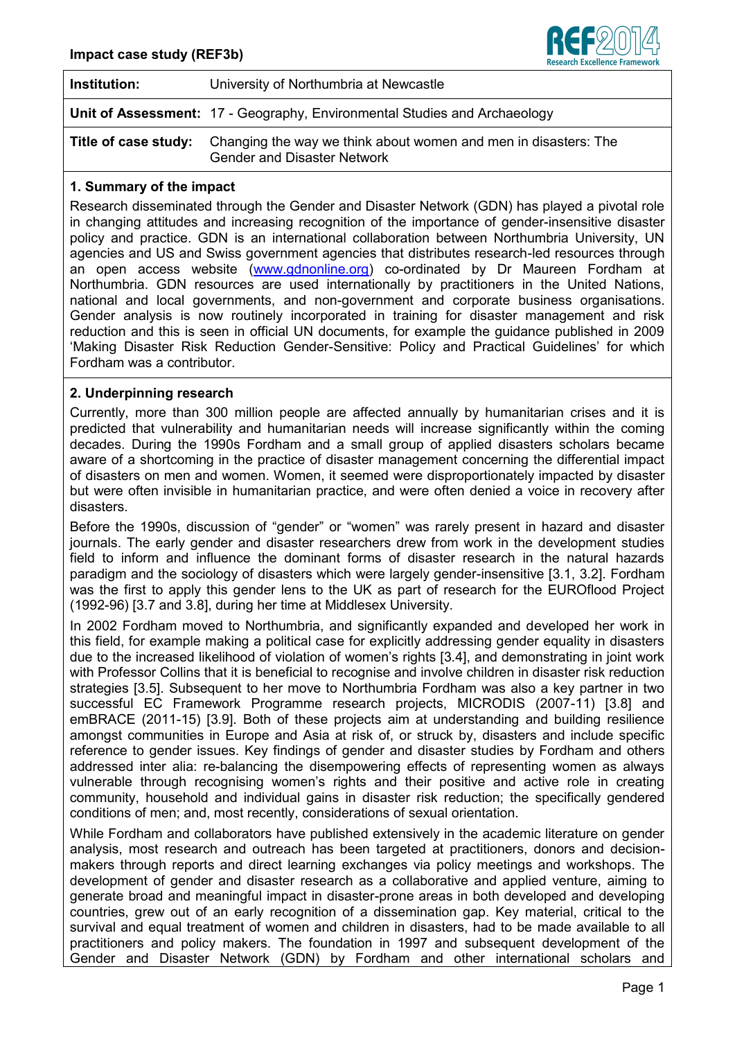

| Institution: | University of Northumbria at Newcastle                                                                                            |
|--------------|-----------------------------------------------------------------------------------------------------------------------------------|
|              | Unit of Assessment: 17 - Geography, Environmental Studies and Archaeology                                                         |
|              | <b>Title of case study:</b> Changing the way we think about women and men in disasters: The<br><b>Gender and Disaster Network</b> |

## **1. Summary of the impact**

Research disseminated through the Gender and Disaster Network (GDN) has played a pivotal role in changing attitudes and increasing recognition of the importance of gender-insensitive disaster policy and practice. GDN is an international collaboration between Northumbria University, UN agencies and US and Swiss government agencies that distributes research-led resources through an open access website [\(www.gdnonline.org\)](http://www.gdnonline.org/) co-ordinated by Dr Maureen Fordham at Northumbria. GDN resources are used internationally by practitioners in the United Nations, national and local governments, and non-government and corporate business organisations. Gender analysis is now routinely incorporated in training for disaster management and risk reduction and this is seen in official UN documents, for example the guidance published in 2009 'Making Disaster Risk Reduction Gender-Sensitive: Policy and Practical Guidelines' for which Fordham was a contributor.

### **2. Underpinning research**

Currently, more than 300 million people are affected annually by humanitarian crises and it is predicted that vulnerability and humanitarian needs will increase significantly within the coming decades. During the 1990s Fordham and a small group of applied disasters scholars became aware of a shortcoming in the practice of disaster management concerning the differential impact of disasters on men and women. Women, it seemed were disproportionately impacted by disaster but were often invisible in humanitarian practice, and were often denied a voice in recovery after disasters.

Before the 1990s, discussion of "gender" or "women" was rarely present in hazard and disaster journals. The early gender and disaster researchers drew from work in the development studies field to inform and influence the dominant forms of disaster research in the natural hazards paradigm and the sociology of disasters which were largely gender-insensitive [3.1, 3.2]. Fordham was the first to apply this gender lens to the UK as part of research for the EUROflood Project (1992-96) [3.7 and 3.8], during her time at Middlesex University.

In 2002 Fordham moved to Northumbria, and significantly expanded and developed her work in this field, for example making a political case for explicitly addressing gender equality in disasters due to the increased likelihood of violation of women's rights [3.4], and demonstrating in joint work with Professor Collins that it is beneficial to recognise and involve children in disaster risk reduction strategies [3.5]. Subsequent to her move to Northumbria Fordham was also a key partner in two successful EC Framework Programme research projects, MICRODIS (2007-11) [3.8] and emBRACE (2011-15) [3.9]. Both of these projects aim at understanding and building resilience amongst communities in Europe and Asia at risk of, or struck by, disasters and include specific reference to gender issues. Key findings of gender and disaster studies by Fordham and others addressed inter alia: re-balancing the disempowering effects of representing women as always vulnerable through recognising women's rights and their positive and active role in creating community, household and individual gains in disaster risk reduction; the specifically gendered conditions of men; and, most recently, considerations of sexual orientation.

While Fordham and collaborators have published extensively in the academic literature on gender analysis, most research and outreach has been targeted at practitioners, donors and decisionmakers through reports and direct learning exchanges via policy meetings and workshops. The development of gender and disaster research as a collaborative and applied venture, aiming to generate broad and meaningful impact in disaster-prone areas in both developed and developing countries, grew out of an early recognition of a dissemination gap. Key material, critical to the survival and equal treatment of women and children in disasters, had to be made available to all practitioners and policy makers. The foundation in 1997 and subsequent development of the Gender and Disaster Network (GDN) by Fordham and other international scholars and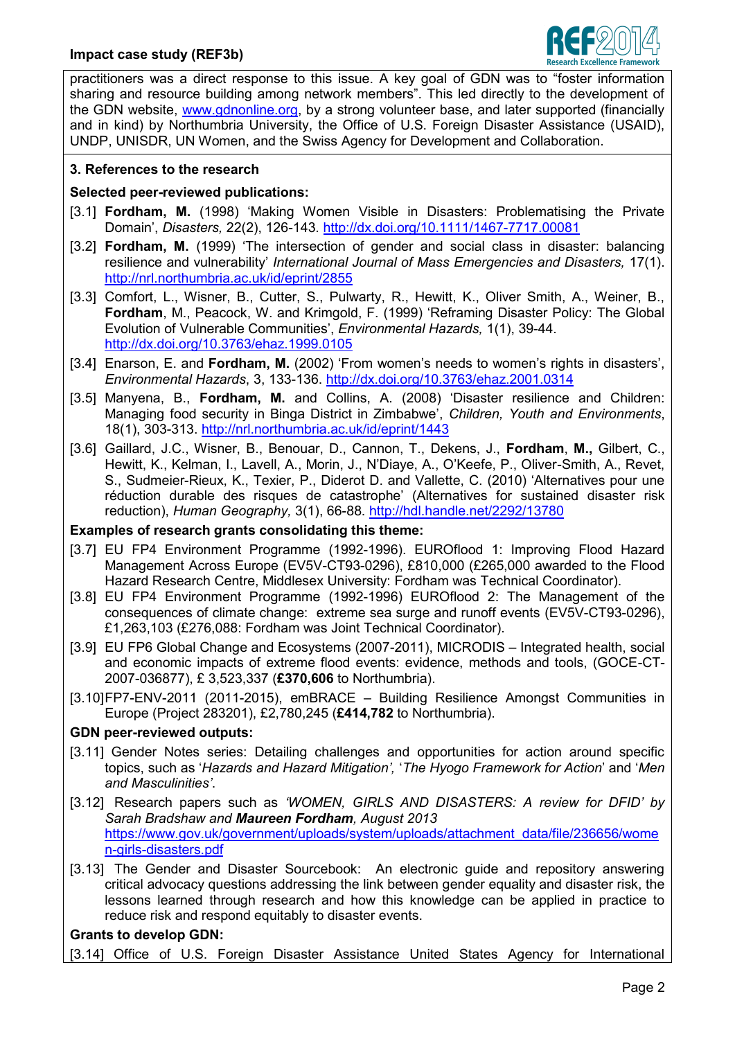

practitioners was a direct response to this issue. A key goal of GDN was to "foster information sharing and resource building among network members". This led directly to the development of the GDN website, www.gdnonline.org, by a strong volunteer base, and later supported (financially and in kind) by Northumbria University, the Office of U.S. Foreign Disaster Assistance (USAID), UNDP, UNISDR, UN Women, and the Swiss Agency for Development and Collaboration.

## **3. References to the research**

# **Selected peer-reviewed publications:**

- [3.1] **Fordham, M.** (1998) 'Making Women Visible in Disasters: Problematising the Private Domain', *Disasters,* 22(2), 126-143.<http://dx.doi.org/10.1111/1467-7717.00081>
- [3.2] **Fordham, M.** (1999) 'The intersection of gender and social class in disaster: balancing resilience and vulnerability' *International Journal of Mass Emergencies and Disasters,* 17(1). <http://nrl.northumbria.ac.uk/id/eprint/2855>
- [3.3] Comfort, L., Wisner, B., Cutter, S., Pulwarty, R., Hewitt, K., Oliver Smith, A., Weiner, B., **Fordham**, M., Peacock, W. and Krimgold, F. (1999) 'Reframing Disaster Policy: The Global Evolution of Vulnerable Communities', *Environmental Hazards,* 1(1), 39-44. <http://dx.doi.org/10.3763/ehaz.1999.0105>
- [3.4] Enarson, E. and **Fordham, M.** (2002) 'From women's needs to women's rights in disasters', *Environmental Hazards*, 3, 133-136. <http://dx.doi.org/10.3763/ehaz.2001.0314>
- [3.5] Manyena, B., **Fordham, M.** and Collins, A. (2008) 'Disaster resilience and Children: Managing food security in Binga District in Zimbabwe', *Children, Youth and Environments*, 18(1), 303-313.<http://nrl.northumbria.ac.uk/id/eprint/1443>
- [3.6] Gaillard, J.C., Wisner, B., Benouar, D., Cannon, T., Dekens, J., **Fordham**, **M.,** Gilbert, C., Hewitt, K., Kelman, I., Lavell, A., Morin, J., N'Diaye, A., O'Keefe, P., Oliver-Smith, A., Revet, S., Sudmeier-Rieux, K., Texier, P., Diderot D. and Vallette, C. (2010) 'Alternatives pour une réduction durable des risques de catastrophe' (Alternatives for sustained disaster risk reduction), *Human Geography,* 3(1), 66-88.<http://hdl.handle.net/2292/13780>

### **Examples of research grants consolidating this theme:**

- [3.7] EU FP4 Environment Programme (1992-1996). EUROflood 1: Improving Flood Hazard Management Across Europe (EV5V-CT93-0296), £810,000 (£265,000 awarded to the Flood Hazard Research Centre, Middlesex University: Fordham was Technical Coordinator).
- [3.8] EU FP4 Environment Programme (1992-1996) EUROflood 2: The Management of the consequences of climate change: extreme sea surge and runoff events (EV5V-CT93-0296), £1,263,103 (£276,088: Fordham was Joint Technical Coordinator).
- [3.9] EU FP6 Global Change and Ecosystems (2007-2011), MICRODIS Integrated health, social and economic impacts of extreme flood events: evidence, methods and tools, (GOCE-CT-2007-036877), £ 3,523,337 (**£370,606** to Northumbria).
- [3.10]FP7-ENV-2011 (2011-2015), emBRACE Building Resilience Amongst Communities in Europe (Project 283201), £2,780,245 (**£414,782** to Northumbria).

### **GDN peer-reviewed outputs:**

- [3.11] Gender Notes series: Detailing challenges and opportunities for action around specific topics, such as '*Hazards and Hazard Mitigation',* '*The Hyogo Framework for Action*' and '*Men and Masculinities'*.
- [3.12] Research papers such as *'WOMEN, GIRLS AND DISASTERS: A review for DFID' by Sarah Bradshaw and Maureen Fordham, August 2013* [https://www.gov.uk/government/uploads/system/uploads/attachment\\_data/file/236656/wome](https://www.gov.uk/government/uploads/system/uploads/attachment_data/file/236656/women-girls-disasters.pdf) [n-girls-disasters.pdf](https://www.gov.uk/government/uploads/system/uploads/attachment_data/file/236656/women-girls-disasters.pdf)
- [3.13] The Gender and Disaster Sourcebook: An electronic guide and repository answering critical advocacy questions addressing the link between gender equality and disaster risk, the lessons learned through research and how this knowledge can be applied in practice to reduce risk and respond equitably to disaster events.

### **Grants to develop GDN:**

[3.14] Office of U.S. Foreign Disaster Assistance United States Agency for International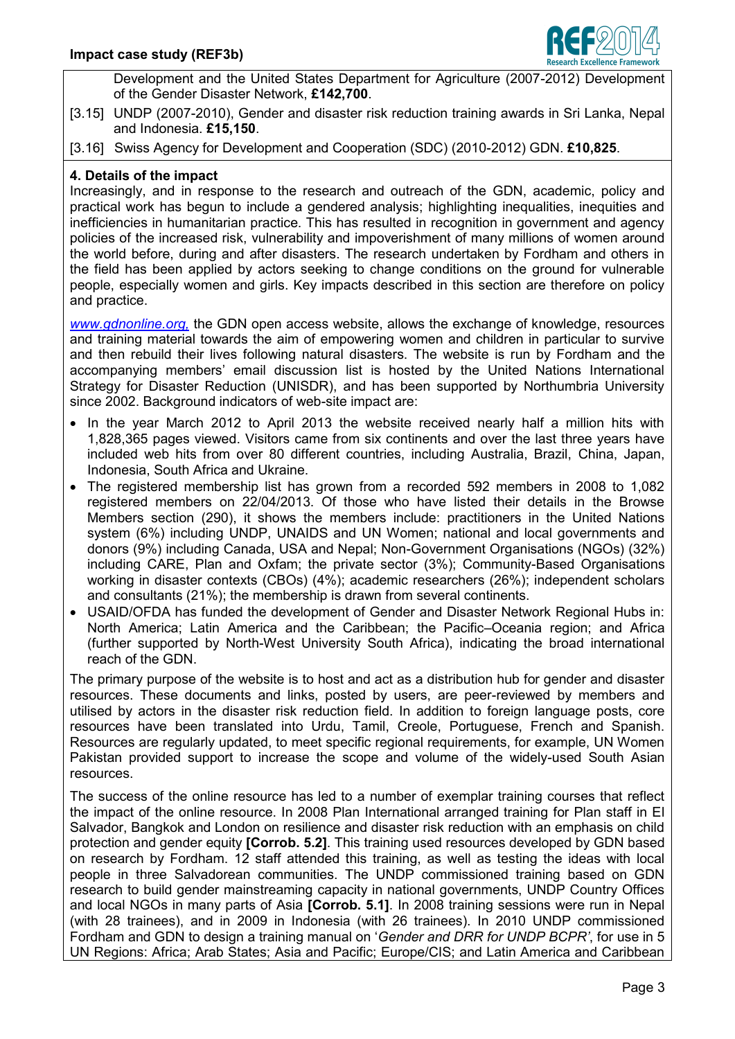

Development and the United States Department for Agriculture (2007-2012) Development of the Gender Disaster Network, **£142,700**.

[3.15] UNDP (2007-2010), Gender and disaster risk reduction training awards in Sri Lanka, Nepal and Indonesia. **£15,150**.

[3.16] Swiss Agency for Development and Cooperation (SDC) (2010-2012) GDN. **£10,825**.

### **4. Details of the impact**

Increasingly, and in response to the research and outreach of the GDN, academic, policy and practical work has begun to include a gendered analysis; highlighting inequalities, inequities and inefficiencies in humanitarian practice. This has resulted in recognition in government and agency policies of the increased risk, vulnerability and impoverishment of many millions of women around the world before, during and after disasters. The research undertaken by Fordham and others in the field has been applied by actors seeking to change conditions on the ground for vulnerable people, especially women and girls. Key impacts described in this section are therefore on policy and practice.

*[www.gdnonline.org,](http://www.gdnonline.org/)* the GDN open access website, allows the exchange of knowledge, resources and training material towards the aim of empowering women and children in particular to survive and then rebuild their lives following natural disasters. The website is run by Fordham and the accompanying members' email discussion list is hosted by the United Nations International Strategy for Disaster Reduction (UNISDR), and has been supported by Northumbria University since 2002. Background indicators of web-site impact are:

- In the year March 2012 to April 2013 the website received nearly half a million hits with 1,828,365 pages viewed. Visitors came from six continents and over the last three years have included web hits from over 80 different countries, including Australia, Brazil, China, Japan, Indonesia, South Africa and Ukraine.
- The registered membership list has grown from a recorded 592 members in 2008 to 1,082 registered members on 22/04/2013. Of those who have listed their details in the Browse Members section (290), it shows the members include: practitioners in the United Nations system (6%) including UNDP, UNAIDS and UN Women; national and local governments and donors (9%) including Canada, USA and Nepal; Non-Government Organisations (NGOs) (32%) including CARE, Plan and Oxfam; the private sector (3%); Community-Based Organisations working in disaster contexts (CBOs) (4%); academic researchers (26%); independent scholars and consultants (21%); the membership is drawn from several continents.
- USAID/OFDA has funded the development of Gender and Disaster Network Regional Hubs in: North America; Latin America and the Caribbean; the Pacific–Oceania region; and Africa (further supported by North-West University South Africa), indicating the broad international reach of the GDN.

The primary purpose of the website is to host and act as a distribution hub for gender and disaster resources. These documents and links, posted by users, are peer-reviewed by members and utilised by actors in the disaster risk reduction field. In addition to foreign language posts, core resources have been translated into Urdu, Tamil, Creole, Portuguese, French and Spanish. Resources are regularly updated, to meet specific regional requirements, for example, UN Women Pakistan provided support to increase the scope and volume of the widely-used South Asian resources.

The success of the online resource has led to a number of exemplar training courses that reflect the impact of the online resource. In 2008 Plan International arranged training for Plan staff in El Salvador, Bangkok and London on resilience and disaster risk reduction with an emphasis on child protection and gender equity **[Corrob. 5.2]**. This training used resources developed by GDN based on research by Fordham. 12 staff attended this training, as well as testing the ideas with local people in three Salvadorean communities. The UNDP commissioned training based on GDN research to build gender mainstreaming capacity in national governments, UNDP Country Offices and local NGOs in many parts of Asia **[Corrob. 5.1]**. In 2008 training sessions were run in Nepal (with 28 trainees), and in 2009 in Indonesia (with 26 trainees). In 2010 UNDP commissioned Fordham and GDN to design a training manual on '*Gender and DRR for UNDP BCPR'*, for use in 5 UN Regions: Africa; Arab States; Asia and Pacific; Europe/CIS; and Latin America and Caribbean